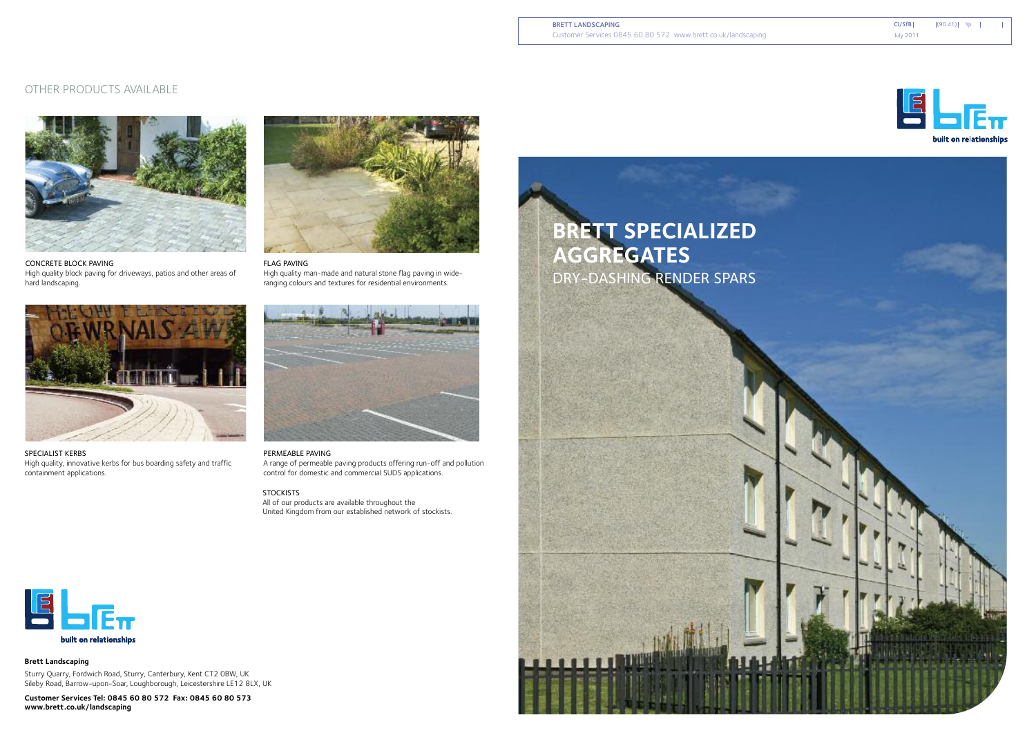



**Brett Landscaping**

Sturry Quarry, Fordwich Road, Sturry, Canterbury, Kent CT2 0BW, UK Sileby Road, Barrow-upon-Soar, Loughborough, Leicestershire LE12 8LX, UK

**Customer Services Tel: 0845 60 80 572 Fax: 0845 60 80 573 www.brett.co.uk/landscaping**

# **BRETT SPECIALIZED AGGREGATES** DRY-DASHING RENDER SPARS





**STOCKISTS** All of our products are available throughout the United Kingdom from our established network of stockists.



SPECIALIST KERBS High quality, innovative kerbs for bus boarding safety and traffic containment applications.



#### PERMEABLE PAVING

A range of permeable paving products offering run-off and pollution control for domestic and commercial SUDS applications.





### OTHER PRODUCTS AVAILABLE

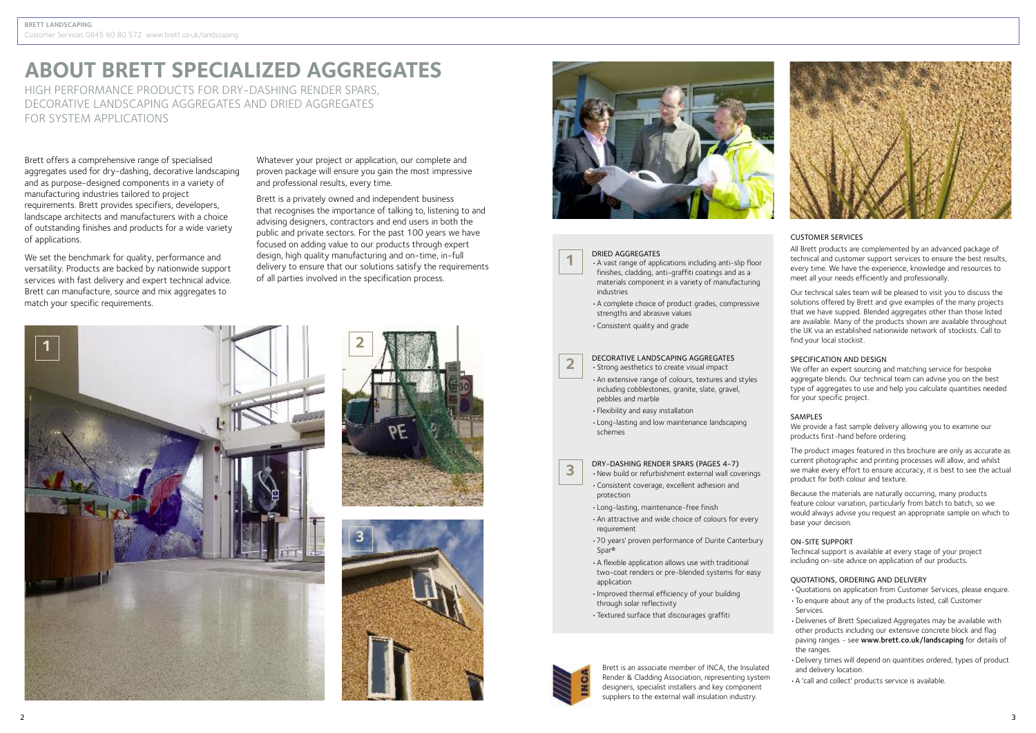

# **ABOUT BRETT SPECIALIZED AGGREGATES**

HIGH PERFORMANCE PRODUCTS FOR DRY-DASHING RENDER SPARS, DECORATIVE LANDSCAPING AGGREGATES AND DRIED AGGREGATES FOR SYSTEM APPLICATIONS

> All Brett products are complemented by an advanced package of technical and customer support services to ensure the best results, every time. We have the experience, knowledge and resources to meet all your needs efficiently and professionally.

#### CUSTOMER SERVICES

Our technical sales team will be pleased to visit you to discuss the solutions offered by Brett and give examples of the many projects that we have suppied. Blended aggregates other than those listed are available. Many of the products shown are available throughout the UK via an established nationwide network of stockists. Call to find your local stockist.

#### SPECIFICATION AND DESIGN

We offer an expert sourcing and matching service for bespoke aggregate blends. Our technical team can advise you on the best type of aggregates to use and help you calculate quantities needed for your specific project.

### SAMPLES

We provide a fast sample delivery allowing you to examine our products first-hand before ordering.

The product images featured in this brochure are only as accurate as current photographic and printing processes will allow, and whilst we make every effort to ensure accuracy, it is best to see the actual product for both colour and texture.

Because the materials are naturally occurring, many products feature colour variation, particularly from batch to batch, so we would always advise you request an appropriate sample on which to base your decision.

#### ON-SITE SUPPORT

Technical support is available at every stage of your project including on-site advice on application of our products.

### QUOTATIONS, ORDERING AND DELIVERY

- •Quotations on application from Customer Services, please enquire.
- •To enquire about any of the products listed, call Customer Services.
- •Deliveries of Brett Specialized Aggregates may be available with other products including our extensive concrete block and flag paving ranges - see www.brett.co.uk/landscaping for details of the ranges.
- •Delivery times will depend on quantities ordered, types of product and delivery location.
- •A 'call and collect' products service is available.

Brett is an associate member of INCA, the Insulated Render & Cladding Association, representing system designers, specialist installers and key component suppliers to the external wall insulation industry.

- **3** DRY-DASHING RENDER SPARS (PAGES 4-7)<br>
New build or refurbishment external wall coverings
	- •Consistent coverage, excellent adhesion and protection
	- •Long-lasting, maintenance-free finish
	- •An attractive and wide choice of colours for every requirement
	- •70 years' proven performance of Durite Canterbury Spar<sup>®</sup>
	- •A flexible application allows use with traditional two-coat renders or pre-blended systems for easy application
	- •Improved thermal efficiency of your building through solar reflectivity
	- •Textured surface that discourages graffiti



Brett offers a comprehensive range of specialised aggregates used for dry-dashing, decorative landscaping and as purpose-designed components in a variety of manufacturing industries tailored to project requirements. Brett provides specifiers, developers, landscape architects and manufacturers with a choice of outstanding finishes and products for a wide variety of applications.

We set the benchmark for quality, performance and versatility. Products are backed by nationwide support services with fast delivery and expert technical advice. Brett can manufacture, source and mix aggregates to match your specific requirements.

Whatever your project or application, our complete and proven package will ensure you gain the most impressive and professional results, every time.

Brett is a privately owned and independent business that recognises the importance of talking to, listening to and advising designers, contractors and end users in both the public and private sectors. For the past 100 years we have focused on adding value to our products through expert design, high quality manufacturing and on-time, in-full delivery to ensure that our solutions satisfy the requirements of all parties involved in the specification process.



**1**

**2**







### DRIED AGGREGATES

- •A vast range of applications including anti-slip floor finishes, cladding, anti-graffiti coatings and as a materials component in a variety of manufacturing industries
- •A complete choice of product grades, compressive strengths and abrasive values
- •Consistent quality and grade

#### DECORATIVE LANDSCAPING AGGREGATES •Strong aesthetics to create visual impact

- •An extensive range of colours, textures and styles including cobblestones, granite, slate, gravel, pebbles and marble
- •Flexibility and easy installation
- •Long-lasting and low maintenance landscaping schemes

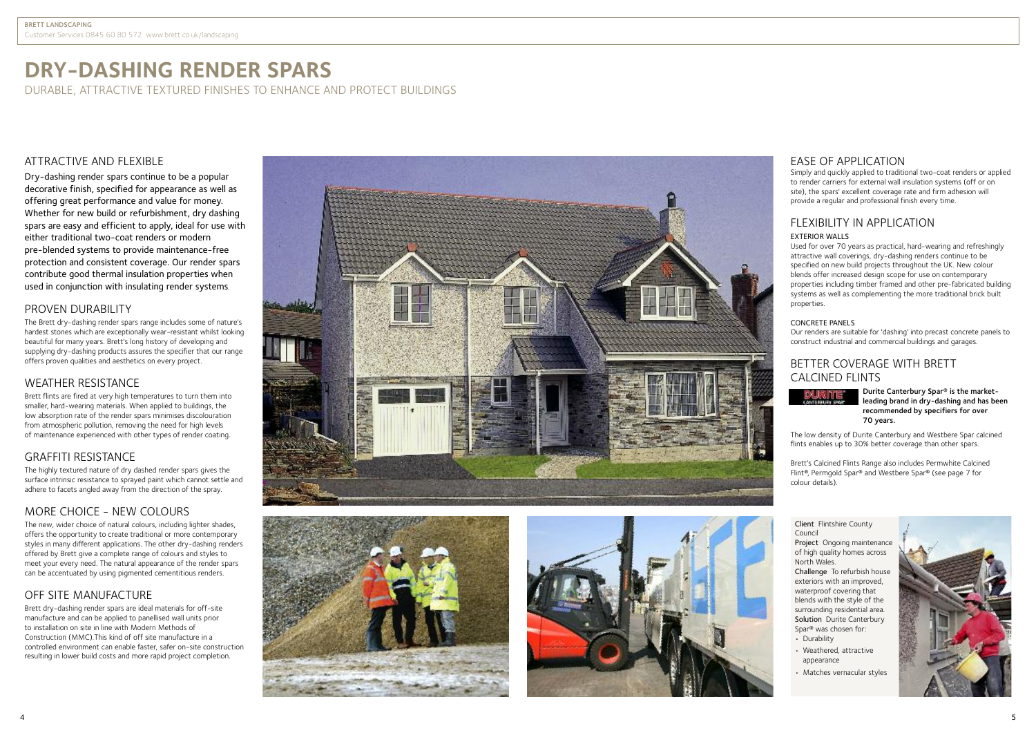# **DRY-DASHING RENDER SPARS**

DURABLE, ATTRACTIVE TEXTURED FINISHES TO ENHANCE AND PROTECT BUILDINGS

### ATTRACTIVE AND FLEXIBLE

Dry-dashing render spars continue to be a popular decorative finish, specified for appearance as well as offering great performance and value for money. Whether for new build or refurbishment, dry dashing spars are easy and efficient to apply, ideal for use with either traditional two-coat renders or modern pre-blended systems to provide maintenance-free protection and consistent coverage. Our render spars contribute good thermal insulation properties when used in conjunction with insulating render systems.

### PROVEN DURABILITY

The Brett dry-dashing render spars range includes some of nature's hardest stones which are exceptionally wear-resistant whilst looking i beautiful for many years. Brett's long history of developing and i l supplying dry-dashing products assures the specifier that our range l i offers proven qualities and aesthetics on every project.

### WEATHER RESISTANCE

Brett flints are fired at very high temperatures to turn them into l i smaller, hard-wearing materials. When applied to buildings, the l l l ow absorption rate of the render spars minimises discolouration from atmospheric pollution, removing the need for high levels of maintenance experienced with other types of render coating. i

### GRAFFITI RESISTANCE

The highly textured nature of dry dashed render spars gives the i l surface intrinsic resistance to sprayed paint which cannot settle and i l adhere to facets angled away from the direction of the spray.

### MORE CHOICE - NEW COLOURS

The new, wider choice of natural colours, including lighter shades, offers the opportunity to create traditional or more contemporary styles in many different applications. The other dry-dashing renders l i offered by Brett give a complete range of colours and styles to meet your every need. The natural appearance of the render spars can be accentuated by using pigmented cementitious renders.

### OFF SITE MANUFACTURE

Brett dry-dashing render spars are ideal materials for off-site manufacture and can be applied to panellised wall units prior to installation on site in line with Modern Methods of i l l Construction (MMC). This kind of off site manufacture in a controlled environment can enable faster, safer on-site construction l l i resulting in lower build costs and more rapid project completion.







### EASE OF APPLICATION

Simply and quickly applied to traditional two-coat renders or applied i l i l l i to render carriers for external wall insulation systems (off or on i l site), the spars' excellent coverage rate and firm adhesion will i l l provide a regular and professional finish every time. i l i

### FLEXIBILITY IN APPLICATION

### EXTERIOR WALLS

Used for over 70 years as practical, hard-wearing and refreshingly attractive wall coverings, dry-dashing renders continue to be i l l i specified on new build projects throughout the UK. New colour i i i l blends offer increased design scope for use on contemporary l i i properties including timber framed and other pre-fabricated building i i l i i systems as well as complementing the more traditional brick built l l l properties. i

#### CONCRETE PANELS

Our renders are suitable for 'dashing' into precast concrete panels to i l construct industrial and commercial buildings and garages. i i l

### BETTER COVERAGE WITH BRETT CALCINED FLINTS



Durite Canterbury Spar® is the marketleading brand in dry-dashing and has been recommended by specifiers for over 70 years.

The low density of Durite Canterbury and Westbere Spar calcined l i i flints enables up to 30% better coverage than other spars. l i l

Brett's Calcined Flints Range also includes Permwhite Calcined l i l i l Flint®, Permgold Spar® and Westbere Spar® (see page 7 for l i l colour details). l i l

Client Flintshire County l i i Counc i l

Project Ongoing maintenance i i of high quality homes across i l i North Wales. l

Challenge To refurbish house i exteriors with an improved, i i i waterproof covering that i blends with the style of the l i l surrounding residential area. i i i l Solution Durite Canterbury i Spar<sup>®</sup> was chosen for:

• Durability i l i

- Weathered, attractive i appearance
- Matches vernacular styles l l